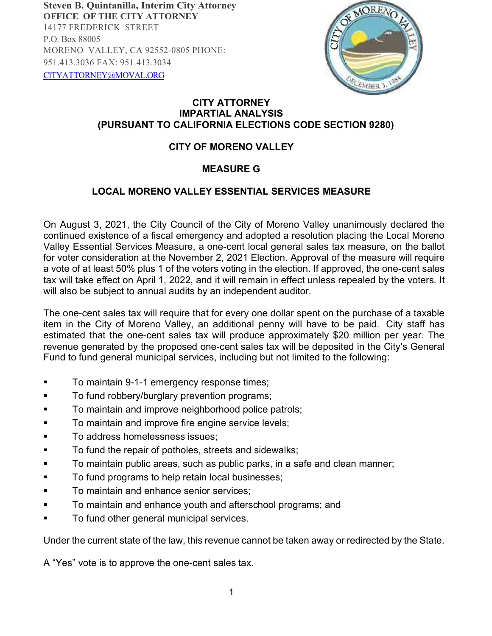**Steven B. Quintanilla, Interim City Attorney OFFICE OF THE CITY ATTORNEY** 14177 FREDERICK STREET P.O. Box 88005 MORENO VALLEY, CA 92552-0805 PHONE: 951.413.3036 FAX: 951.413.3034 [ClTYATTORNEY@MOVAL.ORG](mailto:ClTYATTORNEY@MOVAL.ORG)



## **CITY ATTORNEY IMPARTIAL ANALYSIS (PURSUANT TO CALIFORNIA ELECTIONS CODE SECTION 9280)**

## **CITY OF MORENO VALLEY**

## **MEASURE G**

## **LOCAL MORENO VALLEY ESSENTIAL SERVICES MEASURE**

On August 3, 2021, the City Council of the City of Moreno Valley unanimously declared the continued existence of a fiscal emergency and adopted a resolution placing the Local Moreno Valley Essential Services Measure, a one-cent local general sales tax measure, on the ballot for voter consideration at the November 2, 2021 Election. Approval of the measure will require a vote of at least 50% plus 1 of the voters voting in the election. If approved, the one-cent sales tax will take effect on April 1, 2022, and it will remain in effect unless repealed by the voters. It will also be subject to annual audits by an independent auditor.

The one-cent sales tax will require that for every one dollar spent on the purchase of a taxable item in the City of Moreno Valley, an additional penny will have to be paid. City staff has estimated that the one-cent sales tax will produce approximately \$20 million per year. The revenue generated by the proposed one-cent sales tax will be deposited in the City's General Fund to fund general municipal services, including but not limited to the following:

- To maintain 9-1-1 emergency response times;
- To fund robbery/burglary prevention programs;
- To maintain and improve neighborhood police patrols;
- To maintain and improve fire engine service levels;
- **To address homelessness issues:**
- To fund the repair of potholes, streets and sidewalks;
- To maintain public areas, such as public parks, in a safe and clean manner;
- To fund programs to help retain local businesses;
- To maintain and enhance senior services;
- To maintain and enhance youth and afterschool programs; and
- To fund other general municipal services.

Under the current state of the law, this revenue cannot be taken away or redirected by the State.

A "Yes" vote is to approve the one-cent sales tax.